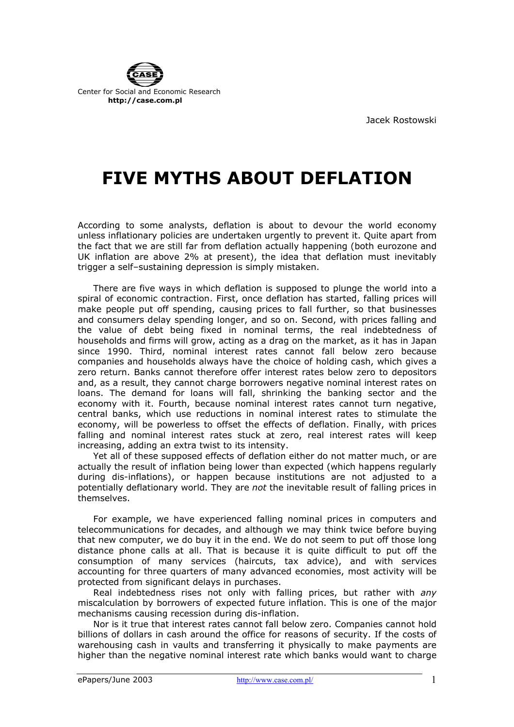

Jacek Rostowski

## **FIVE MYTHS ABOUT DEFLATION**

According to some analysts, deflation is about to devour the world economy unless inflationary policies are undertaken urgently to prevent it. Quite apart from the fact that we are still far from deflation actually happening (both eurozone and UK inflation are above 2% at present), the idea that deflation must inevitably trigger a self–sustaining depression is simply mistaken.

There are five ways in which deflation is supposed to plunge the world into a spiral of economic contraction. First, once deflation has started, falling prices will make people put off spending, causing prices to fall further, so that businesses and consumers delay spending longer, and so on. Second, with prices falling and the value of debt being fixed in nominal terms, the real indebtedness of households and firms will grow, acting as a drag on the market, as it has in Japan since 1990. Third, nominal interest rates cannot fall below zero because companies and households always have the choice of holding cash, which gives a zero return. Banks cannot therefore offer interest rates below zero to depositors and, as a result, they cannot charge borrowers negative nominal interest rates on loans. The demand for loans will fall, shrinking the banking sector and the economy with it. Fourth, because nominal interest rates cannot turn negative, central banks, which use reductions in nominal interest rates to stimulate the economy, will be powerless to offset the effects of deflation. Finally, with prices falling and nominal interest rates stuck at zero, real interest rates will keep increasing, adding an extra twist to its intensity.

Yet all of these supposed effects of deflation either do not matter much, or are actually the result of inflation being lower than expected (which happens regularly during dis-inflations), or happen because institutions are not adjusted to a potentially deflationary world. They are *not* the inevitable result of falling prices in themselves.

For example, we have experienced falling nominal prices in computers and telecommunications for decades, and although we may think twice before buying that new computer, we do buy it in the end. We do not seem to put off those long distance phone calls at all. That is because it is quite difficult to put off the consumption of many services (haircuts, tax advice), and with services accounting for three quarters of many advanced economies, most activity will be protected from significant delays in purchases.

Real indebtedness rises not only with falling prices, but rather with *any* miscalculation by borrowers of expected future inflation. This is one of the major mechanisms causing recession during dis-inflation.

Nor is it true that interest rates cannot fall below zero. Companies cannot hold billions of dollars in cash around the office for reasons of security. If the costs of warehousing cash in vaults and transferring it physically to make payments are higher than the negative nominal interest rate which banks would want to charge